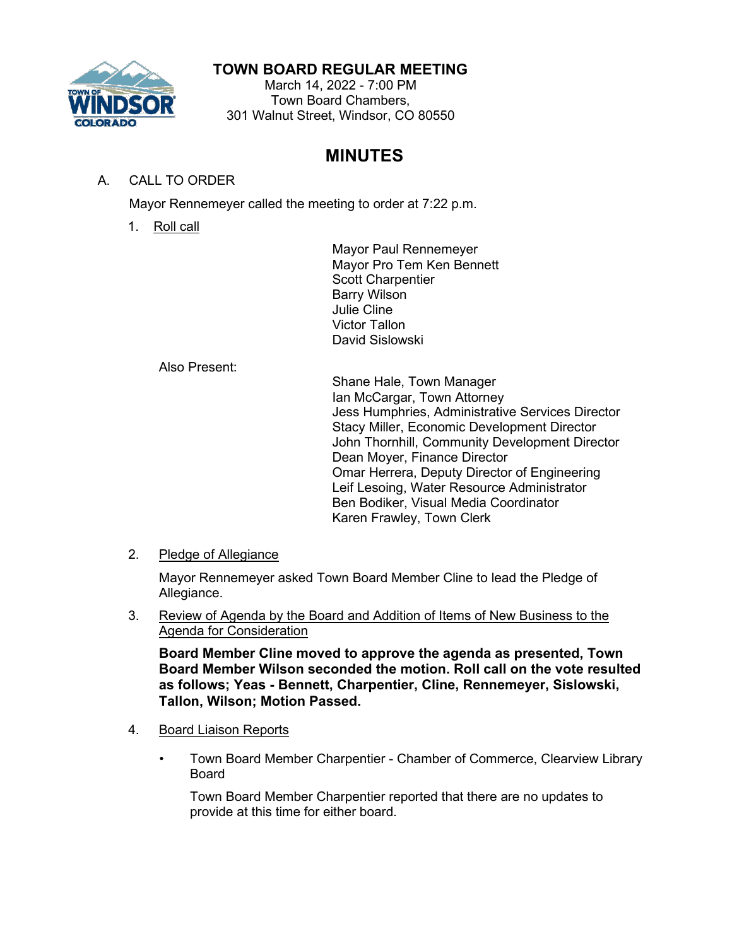

## **TOWN BOARD REGULAR MEETING**

March 14, 2022 - 7:00 PM Town Board Chambers, 301 Walnut Street, Windsor, CO 80550

# **MINUTES**

## A. CALL TO ORDER

Mayor Rennemeyer called the meeting to order at 7:22 p.m.

1. Roll call

Mayor Paul Rennemeyer Mayor Pro Tem Ken Bennett Scott Charpentier Barry Wilson Julie Cline Victor Tallon David Sislowski

Also Present:

Shane Hale, Town Manager Ian McCargar, Town Attorney Jess Humphries, Administrative Services Director Stacy Miller, Economic Development Director John Thornhill, Community Development Director Dean Moyer, Finance Director Omar Herrera, Deputy Director of Engineering Leif Lesoing, Water Resource Administrator Ben Bodiker, Visual Media Coordinator Karen Frawley, Town Clerk

2. Pledge of Allegiance

Mayor Rennemeyer asked Town Board Member Cline to lead the Pledge of Allegiance.

3. Review of Agenda by the Board and Addition of Items of New Business to the Agenda for Consideration

**Board Member Cline moved to approve the agenda as presented, Town Board Member Wilson seconded the motion. Roll call on the vote resulted as follows; Yeas - Bennett, Charpentier, Cline, Rennemeyer, Sislowski, Tallon, Wilson; Motion Passed.**

- 4. Board Liaison Reports
	- Town Board Member Charpentier Chamber of Commerce, Clearview Library Board

Town Board Member Charpentier reported that there are no updates to provide at this time for either board.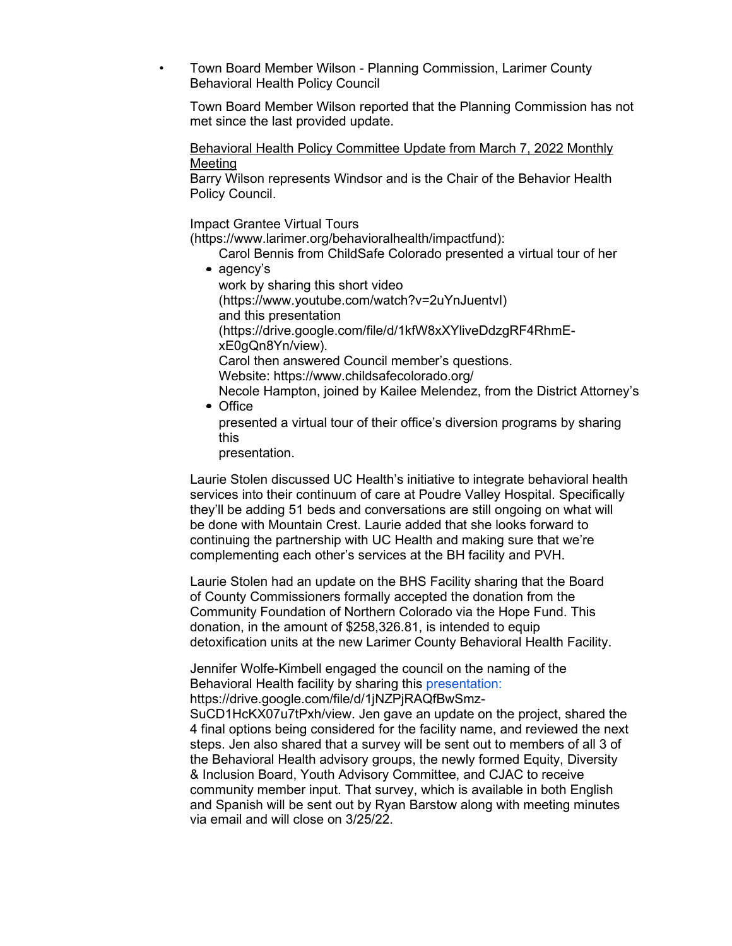• Town Board Member Wilson - Planning Commission, Larimer County Behavioral Health Policy Council

Town Board Member Wilson reported that the Planning Commission has not met since the last provided update.

Behavioral Health Policy Committee Update from March 7, 2022 Monthly Meeting

Barry Wilson represents Windsor and is the Chair of the Behavior Health Policy Council.

Impact Grantee Virtual Tours

[\(https://www.larimer.org/behavioralhealth/impactfund\):](https://www.larimer.org/behavioralhealth/impactfund)

- Carol Bennis from ChildSafe Colorado presented a virtual tour of her • agency's
	- work by sharing this short video [\(https://www.youtube.com/watch?v=2uYnJuentvI\)](https://www.youtube.com/watch?v=2uYnJuentvI) and this presentation [\(https://drive.google.com/file/d/1kfW8xXYliveDdzgRF4RhmE](https://drive.google.com/file/d/1kfW8xXYliveDdzgRF4RhmE-xE0gQn8Yn/view)[xE0gQn8Yn/view\).](https://drive.google.com/file/d/1kfW8xXYliveDdzgRF4RhmE-xE0gQn8Yn/view) Carol then answered Council member's questions. Website:<https://www.childsafecolorado.org/> Necole Hampton, joined by Kailee Melendez, from the District Attorney's
- Office

presented a virtual tour of their office's diversion programs by sharing this

presentation.

Laurie Stolen discussed UC Health's initiative to integrate behavioral health services into their continuum of care at Poudre Valley Hospital. Specifically they'll be adding 51 beds and conversations are still ongoing on what will be done with Mountain Crest. Laurie added that she looks forward to continuing the partnership with UC Health and making sure that we're complementing each other's services at the BH facility and PVH.

Laurie Stolen had an update on the BHS Facility sharing that the Board of County Commissioners formally accepted the donation from the Community Foundation of Northern Colorado via the Hope Fund. This donation, in the amount of \$258,326.81, is intended to equip detoxification units at the new Larimer County Behavioral Health Facility.

Jennifer Wolfe-Kimbell engaged the council on the naming of the Behavioral Health [facility by sharing this](https://drive.google.com/file/d/1jNZPjRAQfBwSmz-SuCD1HcKX07u7tPxh/view) presentation: [https://drive.google.com/file/d/1jNZPjRAQfBwSmz-](https://drive.google.com/file/d/1jNZPjRAQfBwSmz-SuCD1HcKX07u7tPxh/view)

[SuCD1HcKX07u7tPxh/view. Jen gave an update on the project, shared the](https://drive.google.com/file/d/1jNZPjRAQfBwSmz-SuCD1HcKX07u7tPxh/view)  [4 final](https://drive.google.com/file/d/1jNZPjRAQfBwSmz-SuCD1HcKX07u7tPxh/view) options being considered for the facility name, and reviewed the next steps. Jen also shared that a survey will be sent out to members of all 3 of the Behavioral Health advisory groups, the newly formed Equity, Diversity & Inclusion Board, Youth Advisory Committee, and CJAC to receive community member input. That survey, which is available in both English and Spanish will be sent out by Ryan Barstow along with meeting minutes via email and will close on 3/25/22.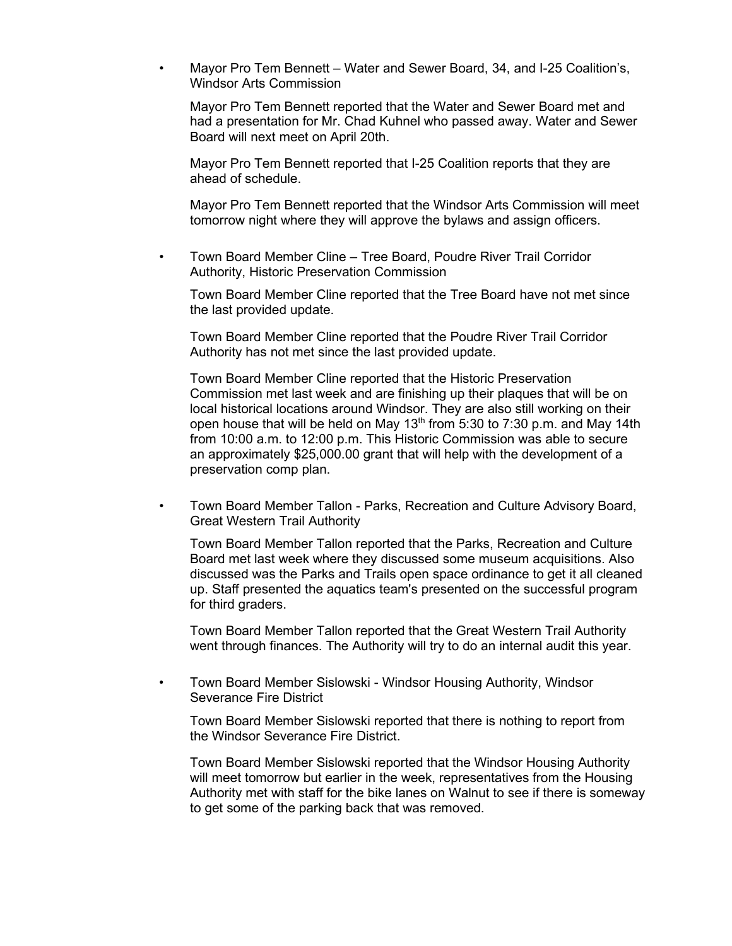• Mayor Pro Tem Bennett – Water and Sewer Board, 34, and I-25 Coalition's, Windsor Arts Commission

Mayor Pro Tem Bennett reported that the Water and Sewer Board met and had a presentation for Mr. Chad Kuhnel who passed away. Water and Sewer Board will next meet on April 20th.

Mayor Pro Tem Bennett reported that I-25 Coalition reports that they are ahead of schedule.

Mayor Pro Tem Bennett reported that the Windsor Arts Commission will meet tomorrow night where they will approve the bylaws and assign officers.

• Town Board Member Cline – Tree Board, Poudre River Trail Corridor Authority, Historic Preservation Commission

Town Board Member Cline reported that the Tree Board have not met since the last provided update.

Town Board Member Cline reported that the Poudre River Trail Corridor Authority has not met since the last provided update.

Town Board Member Cline reported that the Historic Preservation Commission met last week and are finishing up their plaques that will be on local historical locations around Windsor. They are also still working on their open house that will be held on May  $13<sup>th</sup>$  from 5:30 to 7:30 p.m. and May 14th from 10:00 a.m. to 12:00 p.m. This Historic Commission was able to secure an approximately \$25,000.00 grant that will help with the development of a preservation comp plan.

• Town Board Member Tallon - Parks, Recreation and Culture Advisory Board, Great Western Trail Authority

Town Board Member Tallon reported that the Parks, Recreation and Culture Board met last week where they discussed some museum acquisitions. Also discussed was the Parks and Trails open space ordinance to get it all cleaned up. Staff presented the aquatics team's presented on the successful program for third graders.

Town Board Member Tallon reported that the Great Western Trail Authority went through finances. The Authority will try to do an internal audit this year.

• Town Board Member Sislowski - Windsor Housing Authority, Windsor Severance Fire District

Town Board Member Sislowski reported that there is nothing to report from the Windsor Severance Fire District.

Town Board Member Sislowski reported that the Windsor Housing Authority will meet tomorrow but earlier in the week, representatives from the Housing Authority met with staff for the bike lanes on Walnut to see if there is someway to get some of the parking back that was removed.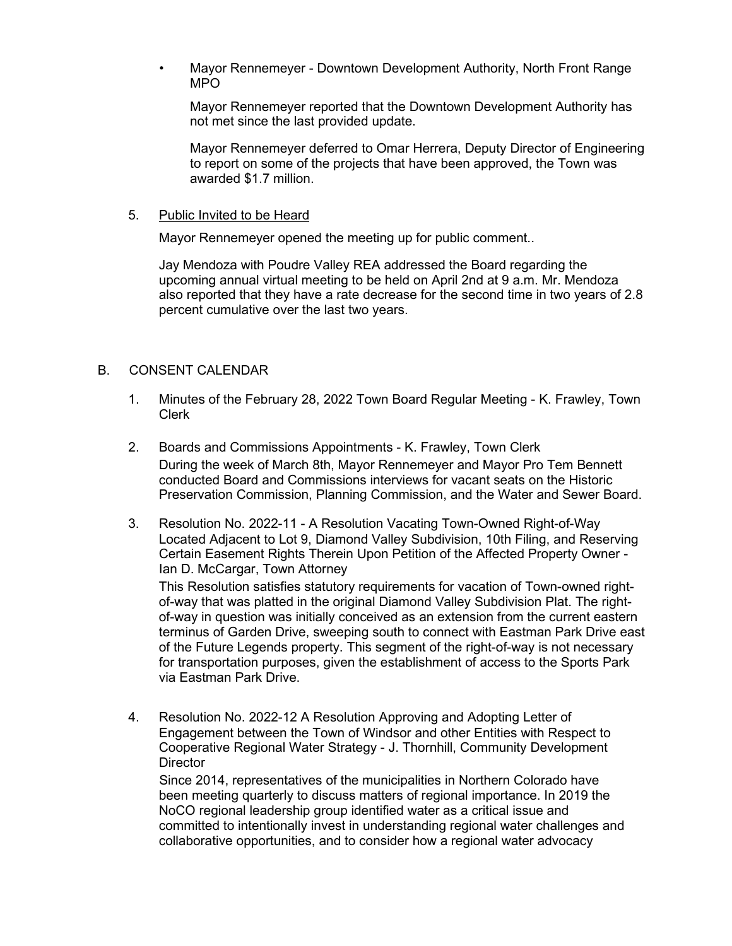• Mayor Rennemeyer - Downtown Development Authority, North Front Range MPO

Mayor Rennemeyer reported that the Downtown Development Authority has not met since the last provided update.

Mayor Rennemeyer deferred to Omar Herrera, Deputy Director of Engineering to report on some of the projects that have been approved, the Town was awarded \$1.7 million.

#### 5. Public Invited to be Heard

Mayor Rennemeyer opened the meeting up for public comment..

Jay Mendoza with Poudre Valley REA addressed the Board regarding the upcoming annual virtual meeting to be held on April 2nd at 9 a.m. Mr. Mendoza also reported that they have a rate decrease for the second time in two years of 2.8 percent cumulative over the last two years.

#### B. CONSENT CALENDAR

- 1. Minutes of the February 28, 2022 Town Board Regular Meeting K. Frawley, Town Clerk
- 2. Boards and Commissions Appointments K. Frawley, Town Clerk During the week of March 8th, Mayor Rennemeyer and Mayor Pro Tem Bennett conducted Board and Commissions interviews for vacant seats on the Historic Preservation Commission, Planning Commission, and the Water and Sewer Board.
- 3. Resolution No. 2022-11 A Resolution Vacating Town-Owned Right-of-Way Located Adjacent to Lot 9, Diamond Valley Subdivision, 10th Filing, and Reserving Certain Easement Rights Therein Upon Petition of the Affected Property Owner - Ian D. McCargar, Town Attorney

This Resolution satisfies statutory requirements for vacation of Town-owned rightof-way that was platted in the original Diamond Valley Subdivision Plat. The rightof-way in question was initially conceived as an extension from the current eastern terminus of Garden Drive, sweeping south to connect with Eastman Park Drive east of the Future Legends property. This segment of the right-of-way is not necessary for transportation purposes, given the establishment of access to the Sports Park via Eastman Park Drive.

4. Resolution No. 2022-12 A Resolution Approving and Adopting Letter of Engagement between the Town of Windsor and other Entities with Respect to Cooperative Regional Water Strategy - J. Thornhill, Community Development **Director** 

Since 2014, representatives of the municipalities in Northern Colorado have been meeting quarterly to discuss matters of regional importance. In 2019 the NoCO regional leadership group identified water as a critical issue and committed to intentionally invest in understanding regional water challenges and collaborative opportunities, and to consider how a regional water advocacy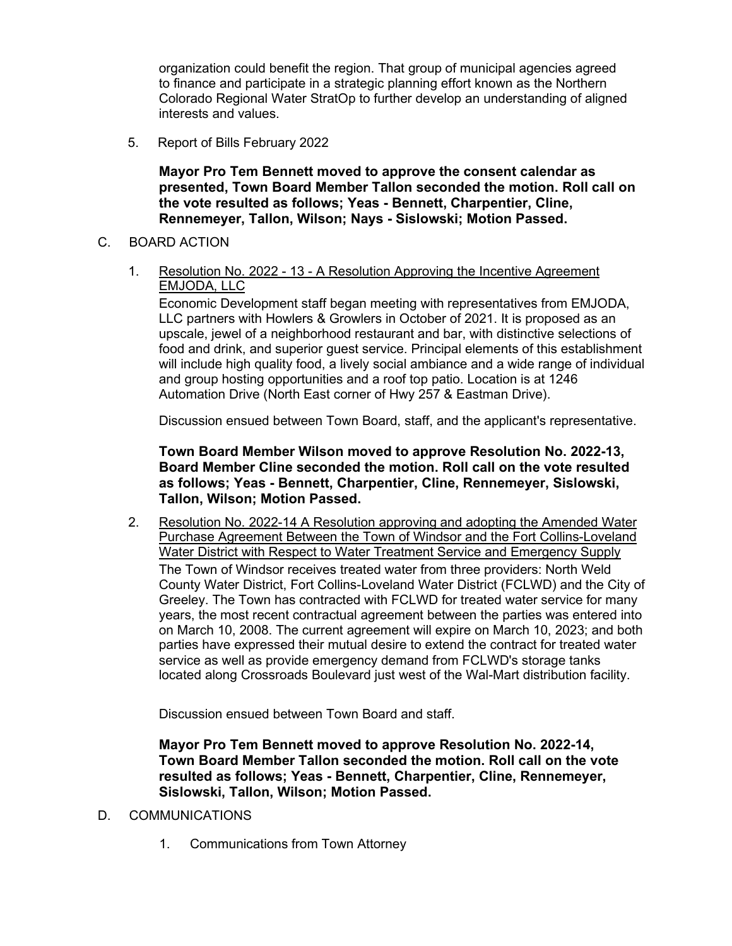organization could benefit the region. That group of municipal agencies agreed to finance and participate in a strategic planning effort known as the Northern Colorado Regional Water StratOp to further develop an understanding of aligned interests and values.

5. Report of Bills February 2022

**Mayor Pro Tem Bennett moved to approve the consent calendar as presented, Town Board Member Tallon seconded the motion. Roll call on the vote resulted as follows; Yeas - Bennett, Charpentier, Cline, Rennemeyer, Tallon, Wilson; Nays - Sislowski; Motion Passed.**

### C. BOARD ACTION

1. Resolution No. 2022 - 13 - A Resolution Approving the Incentive Agreement EMJODA, LLC

Economic Development staff began meeting with representatives from EMJODA, LLC partners with Howlers & Growlers in October of 2021. It is proposed as an upscale, jewel of a neighborhood restaurant and bar, with distinctive selections of food and drink, and superior guest service. Principal elements of this establishment will include high quality food, a lively social ambiance and a wide range of individual and group hosting opportunities and a roof top patio. Location is at 1246 Automation Drive (North East corner of Hwy 257 & Eastman Drive).

Discussion ensued between Town Board, staff, and the applicant's representative.

**Town Board Member Wilson moved to approve Resolution No. 2022-13, Board Member Cline seconded the motion. Roll call on the vote resulted as follows; Yeas - Bennett, Charpentier, Cline, Rennemeyer, Sislowski, Tallon, Wilson; Motion Passed.**

2. Resolution No. 2022-14 A Resolution approving and adopting the Amended Water Purchase Agreement Between the Town of Windsor and the Fort Collins-Loveland Water District with Respect to Water Treatment Service and Emergency Supply The Town of Windsor receives treated water from three providers: North Weld County Water District, Fort Collins-Loveland Water District (FCLWD) and the City of Greeley. The Town has contracted with FCLWD for treated water service for many years, the most recent contractual agreement between the parties was entered into on March 10, 2008. The current agreement will expire on March 10, 2023; and both parties have expressed their mutual desire to extend the contract for treated water service as well as provide emergency demand from FCLWD's storage tanks located along Crossroads Boulevard just west of the Wal-Mart distribution facility.

Discussion ensued between Town Board and staff.

**Mayor Pro Tem Bennett moved to approve Resolution No. 2022-14, Town Board Member Tallon seconded the motion. Roll call on the vote resulted as follows; Yeas - Bennett, Charpentier, Cline, Rennemeyer, Sislowski, Tallon, Wilson; Motion Passed.**

- D. COMMUNICATIONS
	- 1. Communications from Town Attorney